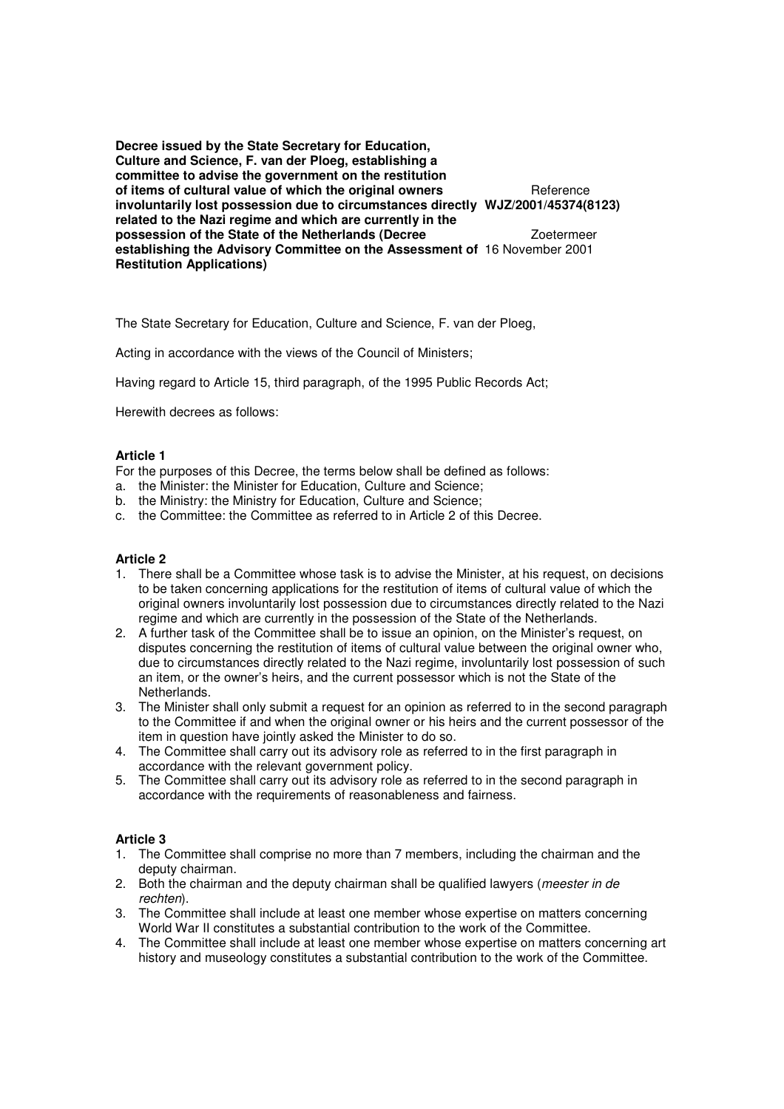**Decree issued by the State Secretary for Education, Culture and Science, F. van der Ploeg, establishing a committee to advise the government on the restitution of items of cultural value of which the original owners** Reference **involuntarily lost possession due to circumstances directly WJZ/2001/45374(8123) related to the Nazi regime and which are currently in the possession of the State of the Netherlands (Decree**  $Z$ **oetermeer establishing the Advisory Committee on the Assessment of** 16 November 2001 **Restitution Applications)**

The State Secretary for Education, Culture and Science, F. van der Ploeg,

Acting in accordance with the views of the Council of Ministers;

Having regard to Article 15, third paragraph, of the 1995 Public Records Act;

Herewith decrees as follows:

## **Article 1**

For the purposes of this Decree, the terms below shall be defined as follows:

- a. the Minister: the Minister for Education, Culture and Science;
- b. the Ministry: the Ministry for Education, Culture and Science;
- c. the Committee: the Committee as referred to in Article 2 of this Decree.

# **Article 2**

- 1. There shall be a Committee whose task is to advise the Minister, at his request, on decisions to be taken concerning applications for the restitution of items of cultural value of which the original owners involuntarily lost possession due to circumstances directly related to the Nazi regime and which are currently in the possession of the State of the Netherlands.
- 2. A further task of the Committee shall be to issue an opinion, on the Minister's request, on disputes concerning the restitution of items of cultural value between the original owner who, due to circumstances directly related to the Nazi regime, involuntarily lost possession of such an item, or the owner's heirs, and the current possessor which is not the State of the Netherlands.
- 3. The Minister shall only submit a request for an opinion as referred to in the second paragraph to the Committee if and when the original owner or his heirs and the current possessor of the item in question have jointly asked the Minister to do so.
- 4. The Committee shall carry out its advisory role as referred to in the first paragraph in accordance with the relevant government policy.
- 5. The Committee shall carry out its advisory role as referred to in the second paragraph in accordance with the requirements of reasonableness and fairness.

## **Article 3**

- 1. The Committee shall comprise no more than 7 members, including the chairman and the deputy chairman.
- 2. Both the chairman and the deputy chairman shall be qualified lawyers (*meester in de* rechten).
- 3. The Committee shall include at least one member whose expertise on matters concerning World War II constitutes a substantial contribution to the work of the Committee.
- 4. The Committee shall include at least one member whose expertise on matters concerning art history and museology constitutes a substantial contribution to the work of the Committee.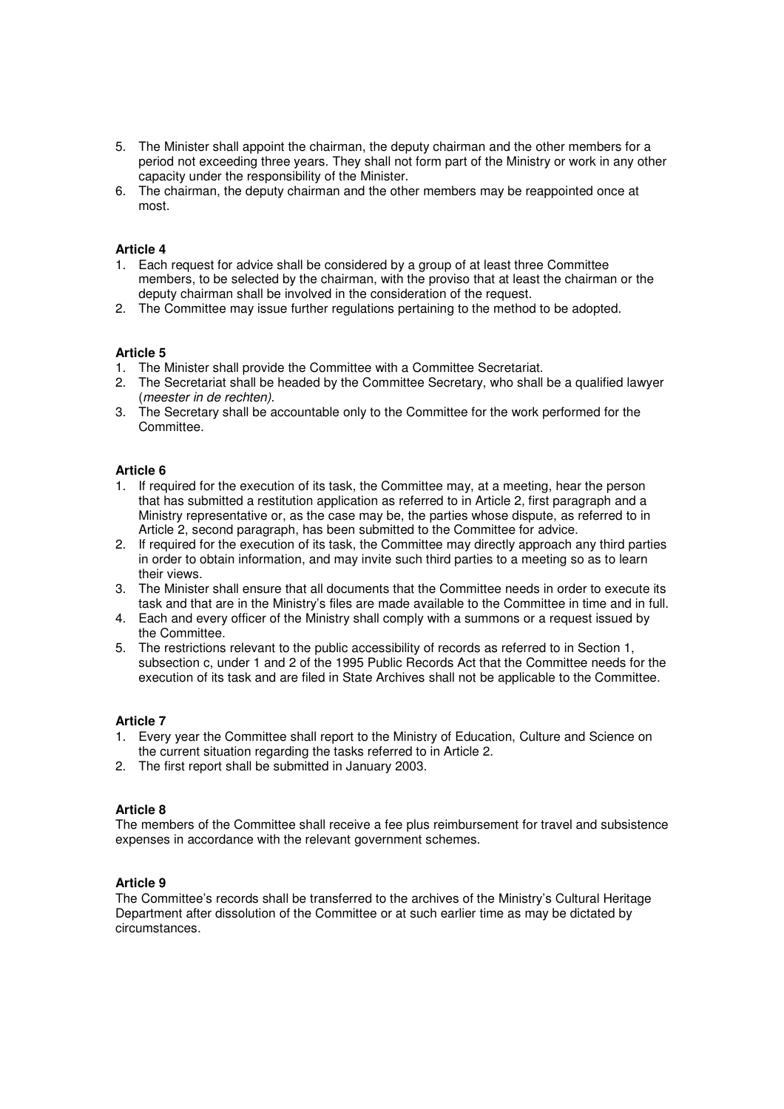- 5. The Minister shall appoint the chairman, the deputy chairman and the other members for a period not exceeding three years. They shall not form part of the Ministry or work in any other capacity under the responsibility of the Minister.
- 6. The chairman, the deputy chairman and the other members may be reappointed once at most.

# **Article 4**

- 1. Each request for advice shall be considered by a group of at least three Committee members, to be selected by the chairman, with the proviso that at least the chairman or the deputy chairman shall be involved in the consideration of the request.
- 2. The Committee may issue further regulations pertaining to the method to be adopted.

## **Article 5**

- 1. The Minister shall provide the Committee with a Committee Secretariat.
- 2. The Secretariat shall be headed by the Committee Secretary, who shall be a qualified lawyer (meester in de rechten).
- 3. The Secretary shall be accountable only to the Committee for the work performed for the Committee.

## **Article 6**

- 1. If required for the execution of its task, the Committee may, at a meeting, hear the person that has submitted a restitution application as referred to in Article 2, first paragraph and a Ministry representative or, as the case may be, the parties whose dispute, as referred to in Article 2, second paragraph, has been submitted to the Committee for advice.
- 2. If required for the execution of its task, the Committee may directly approach any third parties in order to obtain information, and may invite such third parties to a meeting so as to learn their views.
- 3. The Minister shall ensure that all documents that the Committee needs in order to execute its task and that are in the Ministry's files are made available to the Committee in time and in full.
- 4. Each and every officer of the Ministry shall comply with a summons or a request issued by the Committee.
- 5. The restrictions relevant to the public accessibility of records as referred to in Section 1, subsection c, under 1 and 2 of the 1995 Public Records Act that the Committee needs for the execution of its task and are filed in State Archives shall not be applicable to the Committee.

### **Article 7**

- 1. Every year the Committee shall report to the Ministry of Education, Culture and Science on the current situation regarding the tasks referred to in Article 2.
- 2. The first report shall be submitted in January 2003.

## **Article 8**

The members of the Committee shall receive a fee plus reimbursement for travel and subsistence expenses in accordance with the relevant government schemes.

### **Article 9**

The Committee's records shall be transferred to the archives of the Ministry's Cultural Heritage Department after dissolution of the Committee or at such earlier time as may be dictated by circumstances.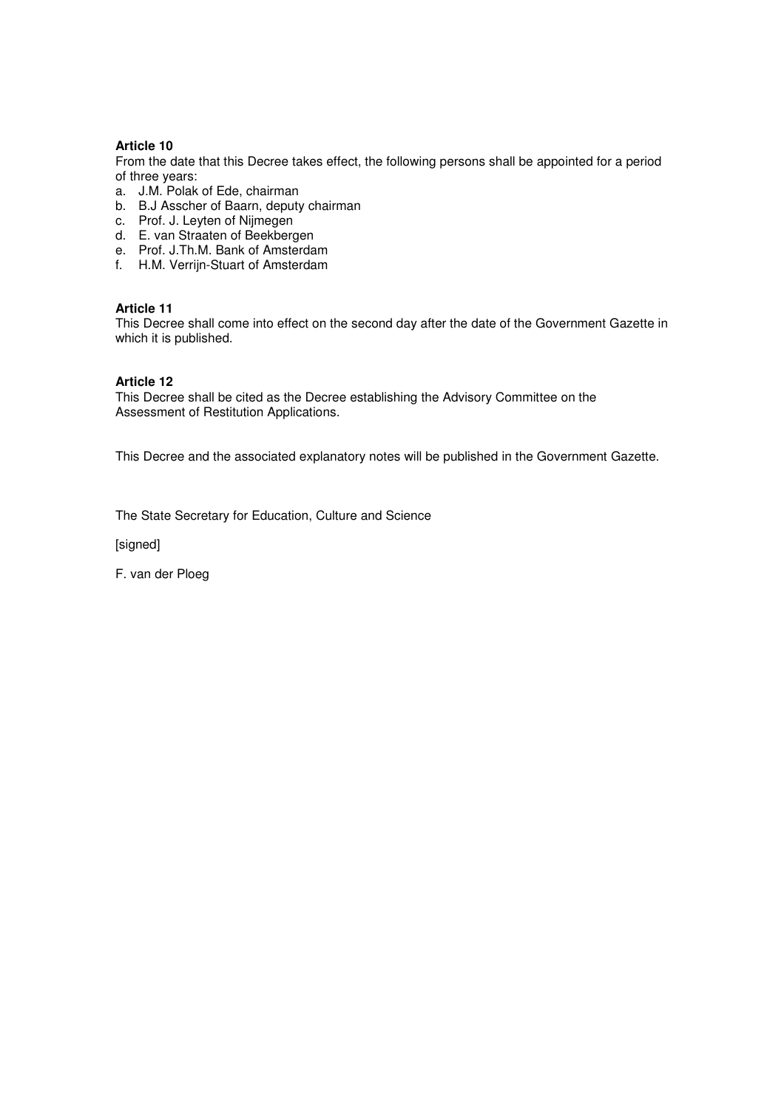# **Article 10**

From the date that this Decree takes effect, the following persons shall be appointed for a period of three years:

- a. J.M. Polak of Ede, chairman
- b. B.J Asscher of Baarn, deputy chairman
- c. Prof. J. Leyten of Nijmegen
- d. E. van Straaten of Beekbergen
- e. Prof. J.Th.M. Bank of Amsterdam
- f. H.M. Verrijn-Stuart of Amsterdam

# **Article 11**

This Decree shall come into effect on the second day after the date of the Government Gazette in which it is published.

## **Article 12**

This Decree shall be cited as the Decree establishing the Advisory Committee on the Assessment of Restitution Applications.

This Decree and the associated explanatory notes will be published in the Government Gazette.

The State Secretary for Education, Culture and Science

[signed]

F. van der Ploeg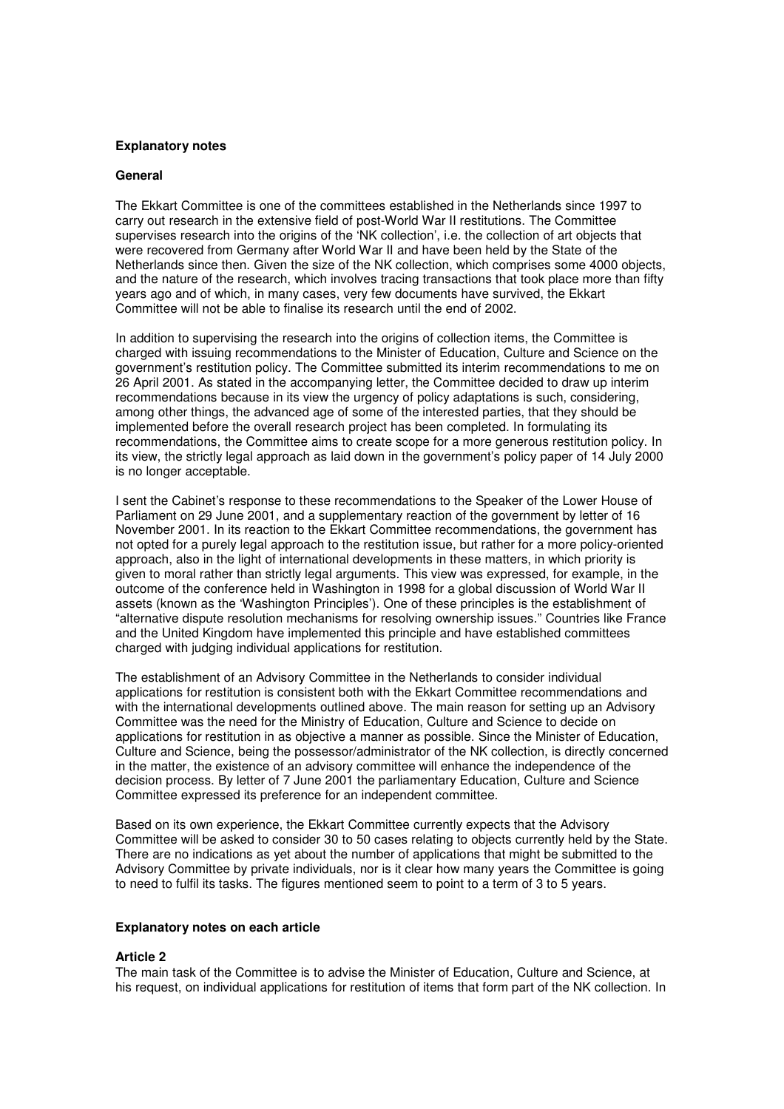## **Explanatory notes**

### **General**

The Ekkart Committee is one of the committees established in the Netherlands since 1997 to carry out research in the extensive field of post-World War II restitutions. The Committee supervises research into the origins of the 'NK collection', i.e. the collection of art objects that were recovered from Germany after World War II and have been held by the State of the Netherlands since then. Given the size of the NK collection, which comprises some 4000 objects, and the nature of the research, which involves tracing transactions that took place more than fifty years ago and of which, in many cases, very few documents have survived, the Ekkart Committee will not be able to finalise its research until the end of 2002.

In addition to supervising the research into the origins of collection items, the Committee is charged with issuing recommendations to the Minister of Education, Culture and Science on the government's restitution policy. The Committee submitted its interim recommendations to me on 26 April 2001. As stated in the accompanying letter, the Committee decided to draw up interim recommendations because in its view the urgency of policy adaptations is such, considering, among other things, the advanced age of some of the interested parties, that they should be implemented before the overall research project has been completed. In formulating its recommendations, the Committee aims to create scope for a more generous restitution policy. In its view, the strictly legal approach as laid down in the government's policy paper of 14 July 2000 is no longer acceptable.

I sent the Cabinet's response to these recommendations to the Speaker of the Lower House of Parliament on 29 June 2001, and a supplementary reaction of the government by letter of 16 November 2001. In its reaction to the Ekkart Committee recommendations, the government has not opted for a purely legal approach to the restitution issue, but rather for a more policy-oriented approach, also in the light of international developments in these matters, in which priority is given to moral rather than strictly legal arguments. This view was expressed, for example, in the outcome of the conference held in Washington in 1998 for a global discussion of World War II assets (known as the 'Washington Principles'). One of these principles is the establishment of "alternative dispute resolution mechanisms for resolving ownership issues." Countries like France and the United Kingdom have implemented this principle and have established committees charged with judging individual applications for restitution.

The establishment of an Advisory Committee in the Netherlands to consider individual applications for restitution is consistent both with the Ekkart Committee recommendations and with the international developments outlined above. The main reason for setting up an Advisory Committee was the need for the Ministry of Education, Culture and Science to decide on applications for restitution in as objective a manner as possible. Since the Minister of Education, Culture and Science, being the possessor/administrator of the NK collection, is directly concerned in the matter, the existence of an advisory committee will enhance the independence of the decision process. By letter of 7 June 2001 the parliamentary Education, Culture and Science Committee expressed its preference for an independent committee.

Based on its own experience, the Ekkart Committee currently expects that the Advisory Committee will be asked to consider 30 to 50 cases relating to objects currently held by the State. There are no indications as yet about the number of applications that might be submitted to the Advisory Committee by private individuals, nor is it clear how many years the Committee is going to need to fulfil its tasks. The figures mentioned seem to point to a term of 3 to 5 years.

### **Explanatory notes on each article**

### **Article 2**

The main task of the Committee is to advise the Minister of Education, Culture and Science, at his request, on individual applications for restitution of items that form part of the NK collection. In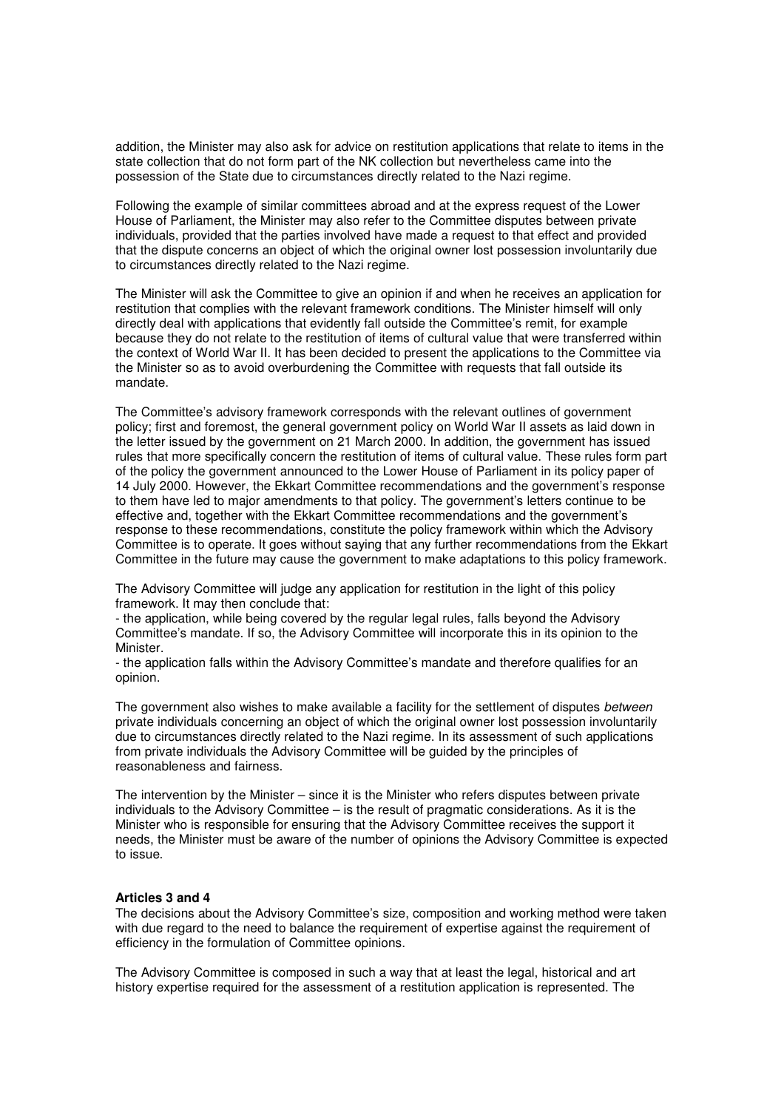addition, the Minister may also ask for advice on restitution applications that relate to items in the state collection that do not form part of the NK collection but nevertheless came into the possession of the State due to circumstances directly related to the Nazi regime.

Following the example of similar committees abroad and at the express request of the Lower House of Parliament, the Minister may also refer to the Committee disputes between private individuals, provided that the parties involved have made a request to that effect and provided that the dispute concerns an object of which the original owner lost possession involuntarily due to circumstances directly related to the Nazi regime.

The Minister will ask the Committee to give an opinion if and when he receives an application for restitution that complies with the relevant framework conditions. The Minister himself will only directly deal with applications that evidently fall outside the Committee's remit, for example because they do not relate to the restitution of items of cultural value that were transferred within the context of World War II. It has been decided to present the applications to the Committee via the Minister so as to avoid overburdening the Committee with requests that fall outside its mandate.

The Committee's advisory framework corresponds with the relevant outlines of government policy; first and foremost, the general government policy on World War II assets as laid down in the letter issued by the government on 21 March 2000. In addition, the government has issued rules that more specifically concern the restitution of items of cultural value. These rules form part of the policy the government announced to the Lower House of Parliament in its policy paper of 14 July 2000. However, the Ekkart Committee recommendations and the government's response to them have led to major amendments to that policy. The government's letters continue to be effective and, together with the Ekkart Committee recommendations and the government's response to these recommendations, constitute the policy framework within which the Advisory Committee is to operate. It goes without saying that any further recommendations from the Ekkart Committee in the future may cause the government to make adaptations to this policy framework.

The Advisory Committee will judge any application for restitution in the light of this policy framework. It may then conclude that:

- the application, while being covered by the regular legal rules, falls beyond the Advisory Committee's mandate. If so, the Advisory Committee will incorporate this in its opinion to the Minister.

- the application falls within the Advisory Committee's mandate and therefore qualifies for an opinion.

The government also wishes to make available a facility for the settlement of disputes between private individuals concerning an object of which the original owner lost possession involuntarily due to circumstances directly related to the Nazi regime. In its assessment of such applications from private individuals the Advisory Committee will be guided by the principles of reasonableness and fairness.

The intervention by the Minister – since it is the Minister who refers disputes between private individuals to the Advisory Committee – is the result of pragmatic considerations. As it is the Minister who is responsible for ensuring that the Advisory Committee receives the support it needs, the Minister must be aware of the number of opinions the Advisory Committee is expected to issue.

### **Articles 3 and 4**

The decisions about the Advisory Committee's size, composition and working method were taken with due regard to the need to balance the requirement of expertise against the requirement of efficiency in the formulation of Committee opinions.

The Advisory Committee is composed in such a way that at least the legal, historical and art history expertise required for the assessment of a restitution application is represented. The